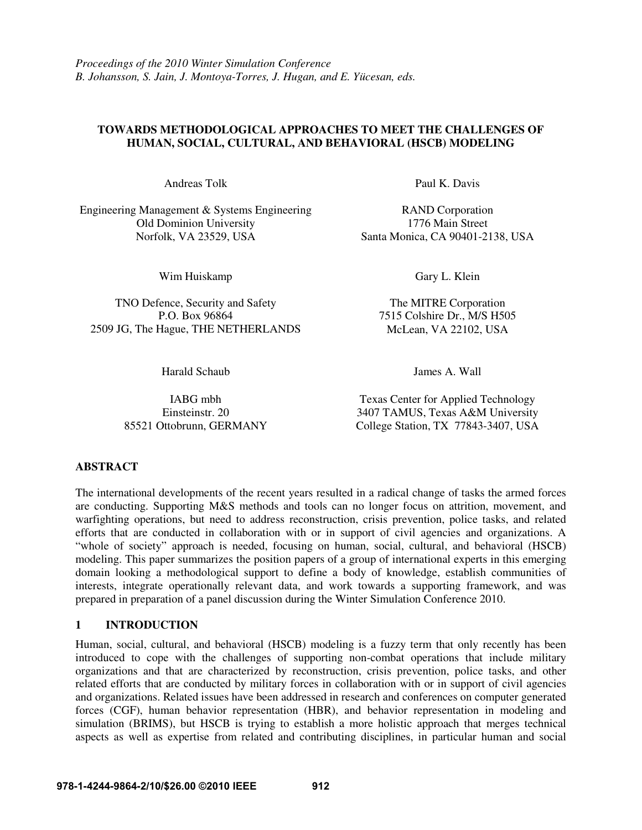# **TOWARDS METHODOLOGICAL APPROACHES TO MEET THE CHALLENGES OF HUMAN, SOCIAL, CULTURAL, AND BEHAVIORAL (HSCB) MODELING**

Andreas Tolk Paul K. Davis

Engineering Management & Systems Engineering RAND Corporation Old Dominion University 1776 Main Street Norfolk, VA 23529, USA Santa Monica, CA 90401-2138, USA

Wim Huiskamp Gary L. Klein

TNO Defence, Security and Safety The MITRE Corporation P.O. Box 96864 7515 Colshire Dr., M/S H505 2509 JG, The Hague, THE NETHERLANDS McLean, VA 22102, USA

Harald Schaub James A. Wall

IABG mbh Texas Center for Applied Technology Einsteinstr. 20 3407 TAMUS, Texas A&M University 85521 Ottobrunn, GERMANY College Station, TX 77843-3407, USA

# **ABSTRACT**

The international developments of the recent years resulted in a radical change of tasks the armed forces are conducting. Supporting M&S methods and tools can no longer focus on attrition, movement, and warfighting operations, but need to address reconstruction, crisis prevention, police tasks, and related efforts that are conducted in collaboration with or in support of civil agencies and organizations. A "whole of society" approach is needed, focusing on human, social, cultural, and behavioral (HSCB) modeling. This paper summarizes the position papers of a group of international experts in this emerging domain looking a methodological support to define a body of knowledge, establish communities of interests, integrate operationally relevant data, and work towards a supporting framework, and was prepared in preparation of a panel discussion during the Winter Simulation Conference 2010.

# **1 INTRODUCTION**

Human, social, cultural, and behavioral (HSCB) modeling is a fuzzy term that only recently has been introduced to cope with the challenges of supporting non-combat operations that include military organizations and that are characterized by reconstruction, crisis prevention, police tasks, and other related efforts that are conducted by military forces in collaboration with or in support of civil agencies and organizations. Related issues have been addressed in research and conferences on computer generated forces (CGF), human behavior representation (HBR), and behavior representation in modeling and simulation (BRIMS), but HSCB is trying to establish a more holistic approach that merges technical aspects as well as expertise from related and contributing disciplines, in particular human and social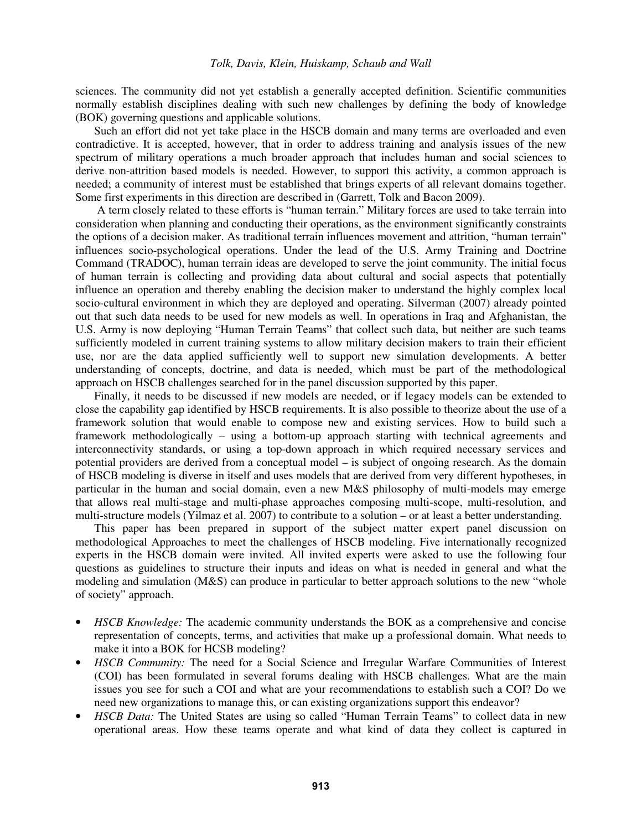sciences. The community did not yet establish a generally accepted definition. Scientific communities normally establish disciplines dealing with such new challenges by defining the body of knowledge (BOK) governing questions and applicable solutions.

Such an effort did not yet take place in the HSCB domain and many terms are overloaded and even contradictive. It is accepted, however, that in order to address training and analysis issues of the new spectrum of military operations a much broader approach that includes human and social sciences to derive non-attrition based models is needed. However, to support this activity, a common approach is needed; a community of interest must be established that brings experts of all relevant domains together. Some first experiments in this direction are described in (Garrett, Tolk and Bacon 2009).

 A term closely related to these efforts is "human terrain." Military forces are used to take terrain into consideration when planning and conducting their operations, as the environment significantly constraints the options of a decision maker. As traditional terrain influences movement and attrition, "human terrain" influences socio-psychological operations. Under the lead of the U.S. Army Training and Doctrine Command (TRADOC), human terrain ideas are developed to serve the joint community. The initial focus of human terrain is collecting and providing data about cultural and social aspects that potentially influence an operation and thereby enabling the decision maker to understand the highly complex local socio-cultural environment in which they are deployed and operating. Silverman (2007) already pointed out that such data needs to be used for new models as well. In operations in Iraq and Afghanistan, the U.S. Army is now deploying "Human Terrain Teams" that collect such data, but neither are such teams sufficiently modeled in current training systems to allow military decision makers to train their efficient use, nor are the data applied sufficiently well to support new simulation developments. A better understanding of concepts, doctrine, and data is needed, which must be part of the methodological approach on HSCB challenges searched for in the panel discussion supported by this paper.

Finally, it needs to be discussed if new models are needed, or if legacy models can be extended to close the capability gap identified by HSCB requirements. It is also possible to theorize about the use of a framework solution that would enable to compose new and existing services. How to build such a framework methodologically – using a bottom-up approach starting with technical agreements and interconnectivity standards, or using a top-down approach in which required necessary services and potential providers are derived from a conceptual model – is subject of ongoing research. As the domain of HSCB modeling is diverse in itself and uses models that are derived from very different hypotheses, in particular in the human and social domain, even a new M&S philosophy of multi-models may emerge that allows real multi-stage and multi-phase approaches composing multi-scope, multi-resolution, and multi-structure models (Yilmaz et al. 2007) to contribute to a solution – or at least a better understanding.

This paper has been prepared in support of the subject matter expert panel discussion on methodological Approaches to meet the challenges of HSCB modeling. Five internationally recognized experts in the HSCB domain were invited. All invited experts were asked to use the following four questions as guidelines to structure their inputs and ideas on what is needed in general and what the modeling and simulation (M&S) can produce in particular to better approach solutions to the new "whole of society" approach.

- *HSCB Knowledge:* The academic community understands the BOK as a comprehensive and concise representation of concepts, terms, and activities that make up a professional domain. What needs to make it into a BOK for HCSB modeling?
- *HSCB Community:* The need for a Social Science and Irregular Warfare Communities of Interest (COI) has been formulated in several forums dealing with HSCB challenges. What are the main issues you see for such a COI and what are your recommendations to establish such a COI? Do we need new organizations to manage this, or can existing organizations support this endeavor?
- *HSCB Data:* The United States are using so called "Human Terrain Teams" to collect data in new operational areas. How these teams operate and what kind of data they collect is captured in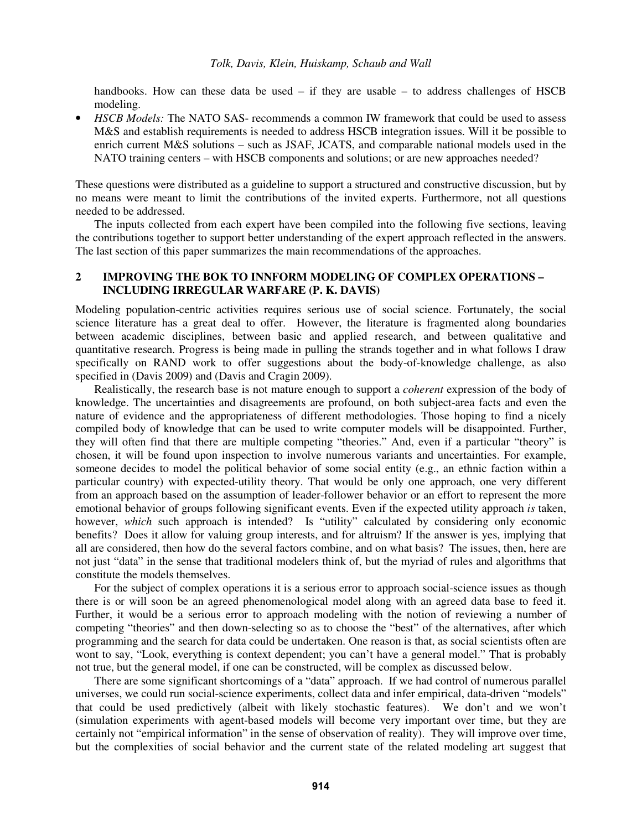handbooks. How can these data be used – if they are usable – to address challenges of HSCB modeling.

• *HSCB Models:* The NATO SAS- recommends a common IW framework that could be used to assess M&S and establish requirements is needed to address HSCB integration issues. Will it be possible to enrich current M&S solutions – such as JSAF, JCATS, and comparable national models used in the NATO training centers – with HSCB components and solutions; or are new approaches needed?

These questions were distributed as a guideline to support a structured and constructive discussion, but by no means were meant to limit the contributions of the invited experts. Furthermore, not all questions needed to be addressed.

The inputs collected from each expert have been compiled into the following five sections, leaving the contributions together to support better understanding of the expert approach reflected in the answers. The last section of this paper summarizes the main recommendations of the approaches.

## **2 IMPROVING THE BOK TO INNFORM MODELING OF COMPLEX OPERATIONS – INCLUDING IRREGULAR WARFARE (P. K. DAVIS)**

Modeling population-centric activities requires serious use of social science. Fortunately, the social science literature has a great deal to offer. However, the literature is fragmented along boundaries between academic disciplines, between basic and applied research, and between qualitative and quantitative research. Progress is being made in pulling the strands together and in what follows I draw specifically on RAND work to offer suggestions about the body-of-knowledge challenge, as also specified in (Davis 2009) and (Davis and Cragin 2009).

Realistically, the research base is not mature enough to support a *coherent* expression of the body of knowledge. The uncertainties and disagreements are profound, on both subject-area facts and even the nature of evidence and the appropriateness of different methodologies. Those hoping to find a nicely compiled body of knowledge that can be used to write computer models will be disappointed. Further, they will often find that there are multiple competing "theories." And, even if a particular "theory" is chosen, it will be found upon inspection to involve numerous variants and uncertainties. For example, someone decides to model the political behavior of some social entity (e.g., an ethnic faction within a particular country) with expected-utility theory. That would be only one approach, one very different from an approach based on the assumption of leader-follower behavior or an effort to represent the more emotional behavior of groups following significant events. Even if the expected utility approach *is* taken, however, *which* such approach is intended? Is "utility" calculated by considering only economic benefits? Does it allow for valuing group interests, and for altruism? If the answer is yes, implying that all are considered, then how do the several factors combine, and on what basis? The issues, then, here are not just "data" in the sense that traditional modelers think of, but the myriad of rules and algorithms that constitute the models themselves.

For the subject of complex operations it is a serious error to approach social-science issues as though there is or will soon be an agreed phenomenological model along with an agreed data base to feed it. Further, it would be a serious error to approach modeling with the notion of reviewing a number of competing "theories" and then down-selecting so as to choose the "best" of the alternatives, after which programming and the search for data could be undertaken. One reason is that, as social scientists often are wont to say, "Look, everything is context dependent; you can't have a general model." That is probably not true, but the general model, if one can be constructed, will be complex as discussed below.

There are some significant shortcomings of a "data" approach. If we had control of numerous parallel universes, we could run social-science experiments, collect data and infer empirical, data-driven "models" that could be used predictively (albeit with likely stochastic features). We don't and we won't (simulation experiments with agent-based models will become very important over time, but they are certainly not "empirical information" in the sense of observation of reality). They will improve over time, but the complexities of social behavior and the current state of the related modeling art suggest that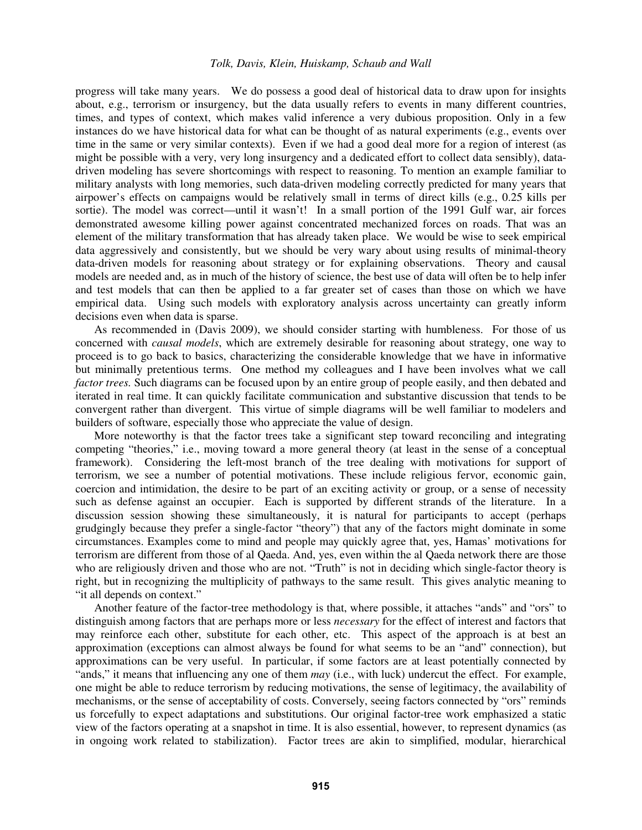progress will take many years. We do possess a good deal of historical data to draw upon for insights about, e.g., terrorism or insurgency, but the data usually refers to events in many different countries, times, and types of context, which makes valid inference a very dubious proposition. Only in a few instances do we have historical data for what can be thought of as natural experiments (e.g., events over time in the same or very similar contexts). Even if we had a good deal more for a region of interest (as might be possible with a very, very long insurgency and a dedicated effort to collect data sensibly), datadriven modeling has severe shortcomings with respect to reasoning. To mention an example familiar to military analysts with long memories, such data-driven modeling correctly predicted for many years that airpower's effects on campaigns would be relatively small in terms of direct kills (e.g., 0.25 kills per sortie). The model was correct—until it wasn't! In a small portion of the 1991 Gulf war, air forces demonstrated awesome killing power against concentrated mechanized forces on roads. That was an element of the military transformation that has already taken place. We would be wise to seek empirical data aggressively and consistently, but we should be very wary about using results of minimal-theory data-driven models for reasoning about strategy or for explaining observations. Theory and causal models are needed and, as in much of the history of science, the best use of data will often be to help infer and test models that can then be applied to a far greater set of cases than those on which we have empirical data. Using such models with exploratory analysis across uncertainty can greatly inform decisions even when data is sparse.

As recommended in (Davis 2009), we should consider starting with humbleness. For those of us concerned with *causal models*, which are extremely desirable for reasoning about strategy, one way to proceed is to go back to basics, characterizing the considerable knowledge that we have in informative but minimally pretentious terms. One method my colleagues and I have been involves what we call *factor trees.* Such diagrams can be focused upon by an entire group of people easily, and then debated and iterated in real time. It can quickly facilitate communication and substantive discussion that tends to be convergent rather than divergent. This virtue of simple diagrams will be well familiar to modelers and builders of software, especially those who appreciate the value of design.

More noteworthy is that the factor trees take a significant step toward reconciling and integrating competing "theories," i.e., moving toward a more general theory (at least in the sense of a conceptual framework). Considering the left-most branch of the tree dealing with motivations for support of terrorism, we see a number of potential motivations. These include religious fervor, economic gain, coercion and intimidation, the desire to be part of an exciting activity or group, or a sense of necessity such as defense against an occupier. Each is supported by different strands of the literature. In a discussion session showing these simultaneously, it is natural for participants to accept (perhaps grudgingly because they prefer a single-factor "theory") that any of the factors might dominate in some circumstances. Examples come to mind and people may quickly agree that, yes, Hamas' motivations for terrorism are different from those of al Qaeda. And, yes, even within the al Qaeda network there are those who are religiously driven and those who are not. "Truth" is not in deciding which single-factor theory is right, but in recognizing the multiplicity of pathways to the same result. This gives analytic meaning to "it all depends on context."

Another feature of the factor-tree methodology is that, where possible, it attaches "ands" and "ors" to distinguish among factors that are perhaps more or less *necessary* for the effect of interest and factors that may reinforce each other, substitute for each other, etc. This aspect of the approach is at best an approximation (exceptions can almost always be found for what seems to be an "and" connection), but approximations can be very useful. In particular, if some factors are at least potentially connected by "ands," it means that influencing any one of them *may* (i.e., with luck) undercut the effect. For example, one might be able to reduce terrorism by reducing motivations, the sense of legitimacy, the availability of mechanisms, or the sense of acceptability of costs. Conversely, seeing factors connected by "ors" reminds us forcefully to expect adaptations and substitutions. Our original factor-tree work emphasized a static view of the factors operating at a snapshot in time. It is also essential, however, to represent dynamics (as in ongoing work related to stabilization). Factor trees are akin to simplified, modular, hierarchical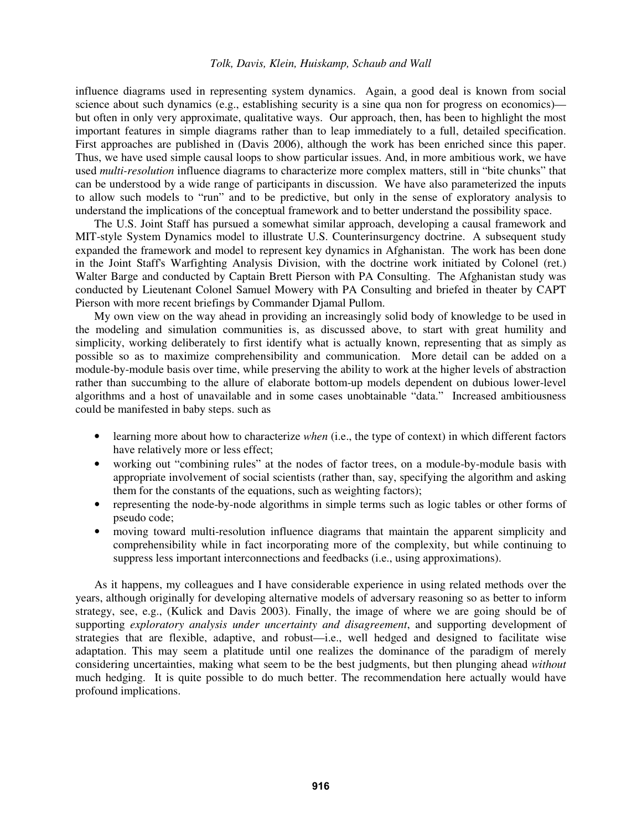influence diagrams used in representing system dynamics. Again, a good deal is known from social science about such dynamics (e.g., establishing security is a sine qua non for progress on economics) but often in only very approximate, qualitative ways. Our approach, then, has been to highlight the most important features in simple diagrams rather than to leap immediately to a full, detailed specification. First approaches are published in (Davis 2006), although the work has been enriched since this paper. Thus, we have used simple causal loops to show particular issues. And, in more ambitious work, we have used *multi-resolution* influence diagrams to characterize more complex matters, still in "bite chunks" that can be understood by a wide range of participants in discussion. We have also parameterized the inputs to allow such models to "run" and to be predictive, but only in the sense of exploratory analysis to understand the implications of the conceptual framework and to better understand the possibility space.

The U.S. Joint Staff has pursued a somewhat similar approach, developing a causal framework and MIT-style System Dynamics model to illustrate U.S. Counterinsurgency doctrine. A subsequent study expanded the framework and model to represent key dynamics in Afghanistan. The work has been done in the Joint Staff's Warfighting Analysis Division, with the doctrine work initiated by Colonel (ret.) Walter Barge and conducted by Captain Brett Pierson with PA Consulting. The Afghanistan study was conducted by Lieutenant Colonel Samuel Mowery with PA Consulting and briefed in theater by CAPT Pierson with more recent briefings by Commander Djamal Pullom.

My own view on the way ahead in providing an increasingly solid body of knowledge to be used in the modeling and simulation communities is, as discussed above, to start with great humility and simplicity, working deliberately to first identify what is actually known, representing that as simply as possible so as to maximize comprehensibility and communication. More detail can be added on a module-by-module basis over time, while preserving the ability to work at the higher levels of abstraction rather than succumbing to the allure of elaborate bottom-up models dependent on dubious lower-level algorithms and a host of unavailable and in some cases unobtainable "data." Increased ambitiousness could be manifested in baby steps. such as

- learning more about how to characterize *when* (i.e., the type of context) in which different factors have relatively more or less effect;
- working out "combining rules" at the nodes of factor trees, on a module-by-module basis with appropriate involvement of social scientists (rather than, say, specifying the algorithm and asking them for the constants of the equations, such as weighting factors);
- representing the node-by-node algorithms in simple terms such as logic tables or other forms of pseudo code;
- moving toward multi-resolution influence diagrams that maintain the apparent simplicity and comprehensibility while in fact incorporating more of the complexity, but while continuing to suppress less important interconnections and feedbacks (i.e., using approximations).

As it happens, my colleagues and I have considerable experience in using related methods over the years, although originally for developing alternative models of adversary reasoning so as better to inform strategy, see, e.g., (Kulick and Davis 2003). Finally, the image of where we are going should be of supporting *exploratory analysis under uncertainty and disagreement*, and supporting development of strategies that are flexible, adaptive, and robust—i.e., well hedged and designed to facilitate wise adaptation. This may seem a platitude until one realizes the dominance of the paradigm of merely considering uncertainties, making what seem to be the best judgments, but then plunging ahead *without* much hedging. It is quite possible to do much better. The recommendation here actually would have profound implications.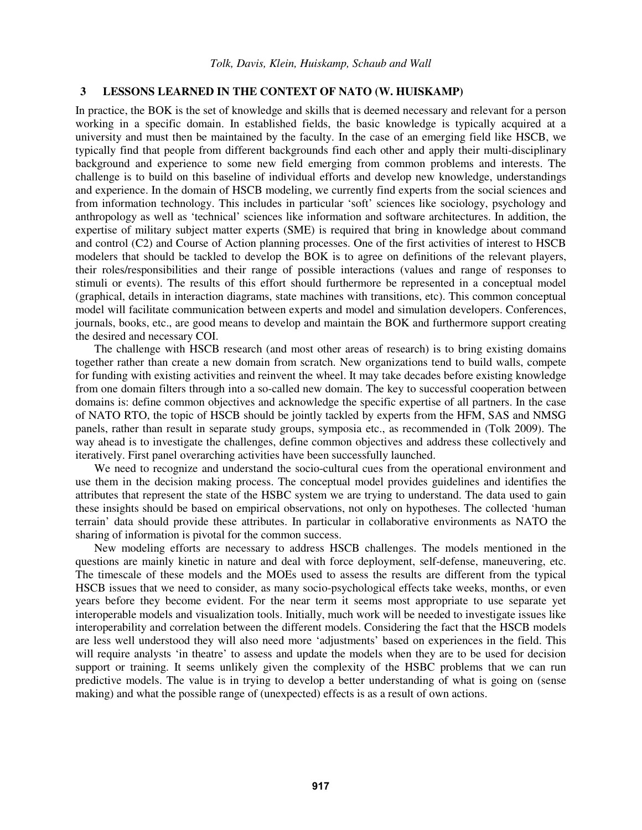#### **3 LESSONS LEARNED IN THE CONTEXT OF NATO (W. HUISKAMP)**

In practice, the BOK is the set of knowledge and skills that is deemed necessary and relevant for a person working in a specific domain. In established fields, the basic knowledge is typically acquired at a university and must then be maintained by the faculty. In the case of an emerging field like HSCB, we typically find that people from different backgrounds find each other and apply their multi-disciplinary background and experience to some new field emerging from common problems and interests. The challenge is to build on this baseline of individual efforts and develop new knowledge, understandings and experience. In the domain of HSCB modeling, we currently find experts from the social sciences and from information technology. This includes in particular 'soft' sciences like sociology, psychology and anthropology as well as 'technical' sciences like information and software architectures. In addition, the expertise of military subject matter experts (SME) is required that bring in knowledge about command and control (C2) and Course of Action planning processes. One of the first activities of interest to HSCB modelers that should be tackled to develop the BOK is to agree on definitions of the relevant players, their roles/responsibilities and their range of possible interactions (values and range of responses to stimuli or events). The results of this effort should furthermore be represented in a conceptual model (graphical, details in interaction diagrams, state machines with transitions, etc). This common conceptual model will facilitate communication between experts and model and simulation developers. Conferences, journals, books, etc., are good means to develop and maintain the BOK and furthermore support creating the desired and necessary COI.

The challenge with HSCB research (and most other areas of research) is to bring existing domains together rather than create a new domain from scratch. New organizations tend to build walls, compete for funding with existing activities and reinvent the wheel. It may take decades before existing knowledge from one domain filters through into a so-called new domain. The key to successful cooperation between domains is: define common objectives and acknowledge the specific expertise of all partners. In the case of NATO RTO, the topic of HSCB should be jointly tackled by experts from the HFM, SAS and NMSG panels, rather than result in separate study groups, symposia etc., as recommended in (Tolk 2009). The way ahead is to investigate the challenges, define common objectives and address these collectively and iteratively. First panel overarching activities have been successfully launched.

We need to recognize and understand the socio-cultural cues from the operational environment and use them in the decision making process. The conceptual model provides guidelines and identifies the attributes that represent the state of the HSBC system we are trying to understand. The data used to gain these insights should be based on empirical observations, not only on hypotheses. The collected 'human terrain' data should provide these attributes. In particular in collaborative environments as NATO the sharing of information is pivotal for the common success.

New modeling efforts are necessary to address HSCB challenges. The models mentioned in the questions are mainly kinetic in nature and deal with force deployment, self-defense, maneuvering, etc. The timescale of these models and the MOEs used to assess the results are different from the typical HSCB issues that we need to consider, as many socio-psychological effects take weeks, months, or even years before they become evident. For the near term it seems most appropriate to use separate yet interoperable models and visualization tools. Initially, much work will be needed to investigate issues like interoperability and correlation between the different models. Considering the fact that the HSCB models are less well understood they will also need more 'adjustments' based on experiences in the field. This will require analysts 'in theatre' to assess and update the models when they are to be used for decision support or training. It seems unlikely given the complexity of the HSBC problems that we can run predictive models. The value is in trying to develop a better understanding of what is going on (sense making) and what the possible range of (unexpected) effects is as a result of own actions.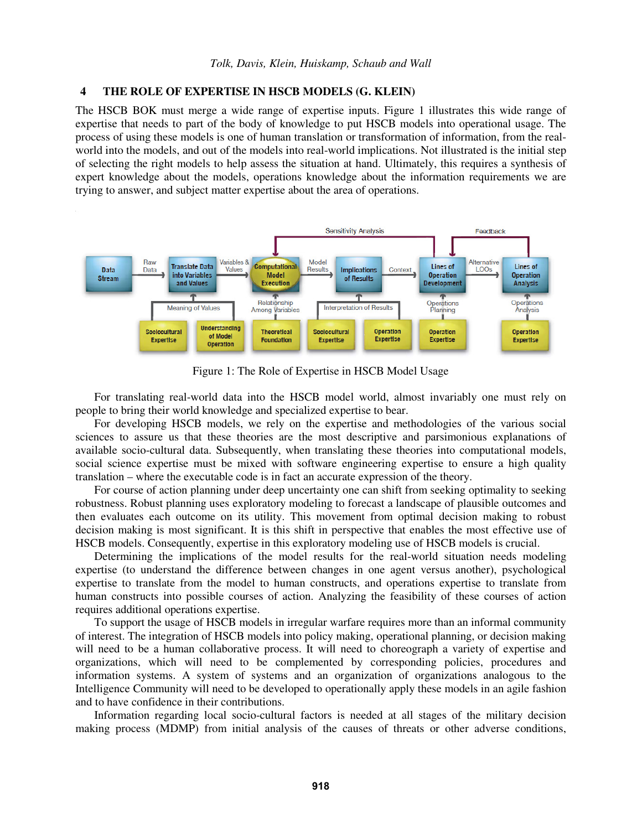### **4 THE ROLE OF EXPERTISE IN HSCB MODELS (G. KLEIN)**

The HSCB BOK must merge a wide range of expertise inputs. Figure 1 illustrates this wide range of expertise that needs to part of the body of knowledge to put HSCB models into operational usage. The process of using these models is one of human translation or transformation of information, from the realworld into the models, and out of the models into real-world implications. Not illustrated is the initial step of selecting the right models to help assess the situation at hand. Ultimately, this requires a synthesis of expert knowledge about the models, operations knowledge about the information requirements we are trying to answer, and subject matter expertise about the area of operations.



Figure 1: The Role of Expertise in HSCB Model Usage

For translating real-world data into the HSCB model world, almost invariably one must rely on people to bring their world knowledge and specialized expertise to bear.

For developing HSCB models, we rely on the expertise and methodologies of the various social sciences to assure us that these theories are the most descriptive and parsimonious explanations of available socio-cultural data. Subsequently, when translating these theories into computational models, social science expertise must be mixed with software engineering expertise to ensure a high quality translation – where the executable code is in fact an accurate expression of the theory.

For course of action planning under deep uncertainty one can shift from seeking optimality to seeking robustness. Robust planning uses exploratory modeling to forecast a landscape of plausible outcomes and then evaluates each outcome on its utility. This movement from optimal decision making to robust decision making is most significant. It is this shift in perspective that enables the most effective use of HSCB models. Consequently, expertise in this exploratory modeling use of HSCB models is crucial.

Determining the implications of the model results for the real-world situation needs modeling expertise (to understand the difference between changes in one agent versus another), psychological expertise to translate from the model to human constructs, and operations expertise to translate from human constructs into possible courses of action. Analyzing the feasibility of these courses of action requires additional operations expertise.

To support the usage of HSCB models in irregular warfare requires more than an informal community of interest. The integration of HSCB models into policy making, operational planning, or decision making will need to be a human collaborative process. It will need to choreograph a variety of expertise and organizations, which will need to be complemented by corresponding policies, procedures and information systems. A system of systems and an organization of organizations analogous to the Intelligence Community will need to be developed to operationally apply these models in an agile fashion and to have confidence in their contributions.

Information regarding local socio-cultural factors is needed at all stages of the military decision making process (MDMP) from initial analysis of the causes of threats or other adverse conditions,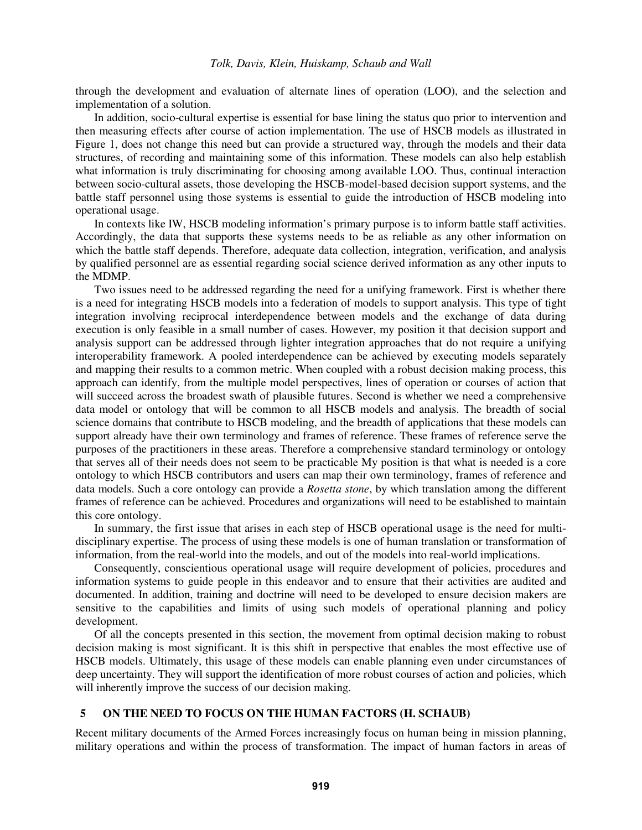through the development and evaluation of alternate lines of operation (LOO), and the selection and implementation of a solution.

In addition, socio-cultural expertise is essential for base lining the status quo prior to intervention and then measuring effects after course of action implementation. The use of HSCB models as illustrated in Figure 1, does not change this need but can provide a structured way, through the models and their data structures, of recording and maintaining some of this information. These models can also help establish what information is truly discriminating for choosing among available LOO. Thus, continual interaction between socio-cultural assets, those developing the HSCB-model-based decision support systems, and the battle staff personnel using those systems is essential to guide the introduction of HSCB modeling into operational usage.

In contexts like IW, HSCB modeling information's primary purpose is to inform battle staff activities. Accordingly, the data that supports these systems needs to be as reliable as any other information on which the battle staff depends. Therefore, adequate data collection, integration, verification, and analysis by qualified personnel are as essential regarding social science derived information as any other inputs to the MDMP.

Two issues need to be addressed regarding the need for a unifying framework. First is whether there is a need for integrating HSCB models into a federation of models to support analysis. This type of tight integration involving reciprocal interdependence between models and the exchange of data during execution is only feasible in a small number of cases. However, my position it that decision support and analysis support can be addressed through lighter integration approaches that do not require a unifying interoperability framework. A pooled interdependence can be achieved by executing models separately and mapping their results to a common metric. When coupled with a robust decision making process, this approach can identify, from the multiple model perspectives, lines of operation or courses of action that will succeed across the broadest swath of plausible futures. Second is whether we need a comprehensive data model or ontology that will be common to all HSCB models and analysis. The breadth of social science domains that contribute to HSCB modeling, and the breadth of applications that these models can support already have their own terminology and frames of reference. These frames of reference serve the purposes of the practitioners in these areas. Therefore a comprehensive standard terminology or ontology that serves all of their needs does not seem to be practicable My position is that what is needed is a core ontology to which HSCB contributors and users can map their own terminology, frames of reference and data models. Such a core ontology can provide a *Rosetta stone*, by which translation among the different frames of reference can be achieved. Procedures and organizations will need to be established to maintain this core ontology.

In summary, the first issue that arises in each step of HSCB operational usage is the need for multidisciplinary expertise. The process of using these models is one of human translation or transformation of information, from the real-world into the models, and out of the models into real-world implications.

Consequently, conscientious operational usage will require development of policies, procedures and information systems to guide people in this endeavor and to ensure that their activities are audited and documented. In addition, training and doctrine will need to be developed to ensure decision makers are sensitive to the capabilities and limits of using such models of operational planning and policy development.

Of all the concepts presented in this section, the movement from optimal decision making to robust decision making is most significant. It is this shift in perspective that enables the most effective use of HSCB models. Ultimately, this usage of these models can enable planning even under circumstances of deep uncertainty. They will support the identification of more robust courses of action and policies, which will inherently improve the success of our decision making.

### **5 ON THE NEED TO FOCUS ON THE HUMAN FACTORS (H. SCHAUB)**

Recent military documents of the Armed Forces increasingly focus on human being in mission planning, military operations and within the process of transformation. The impact of human factors in areas of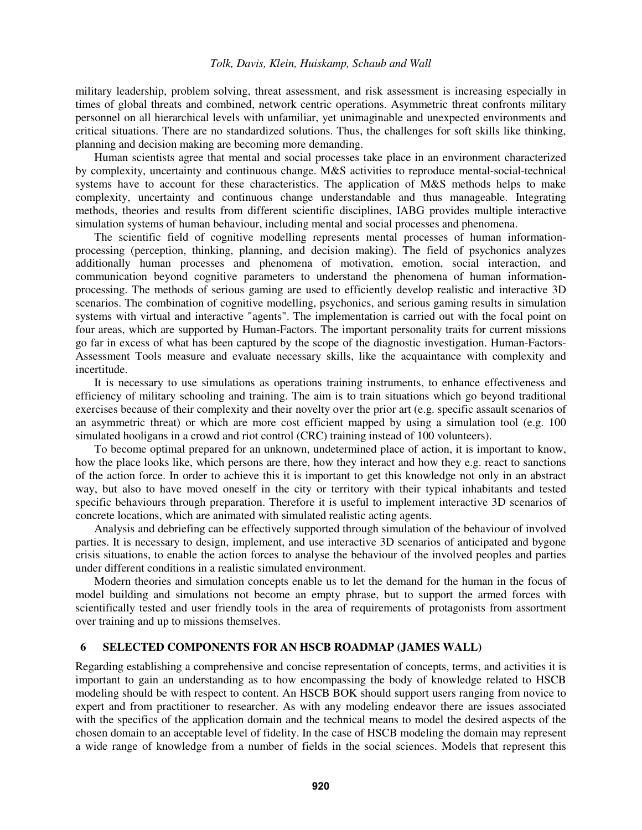military leadership, problem solving, threat assessment, and risk assessment is increasing especially in times of global threats and combined, network centric operations. Asymmetric threat confronts military personnel on all hierarchical levels with unfamiliar, yet unimaginable and unexpected environments and critical situations. There are no standardized solutions. Thus, the challenges for soft skills like thinking, planning and decision making are becoming more demanding.

Human scientists agree that mental and social processes take place in an environment characterized by complexity, uncertainty and continuous change. M&S activities to reproduce mental-social-technical systems have to account for these characteristics. The application of M&S methods helps to make complexity, uncertainty and continuous change understandable and thus manageable. Integrating methods, theories and results from different scientific disciplines, IABG provides multiple interactive simulation systems of human behaviour, including mental and social processes and phenomena.

The scientific field of cognitive modelling represents mental processes of human informationprocessing (perception, thinking, planning, and decision making). The field of psychonics analyzes additionally human processes and phenomena of motivation, emotion, social interaction, and communication beyond cognitive parameters to understand the phenomena of human informationprocessing. The methods of serious gaming are used to efficiently develop realistic and interactive 3D scenarios. The combination of cognitive modelling, psychonics, and serious gaming results in simulation systems with virtual and interactive "agents". The implementation is carried out with the focal point on four areas, which are supported by Human-Factors. The important personality traits for current missions go far in excess of what has been captured by the scope of the diagnostic investigation. Human-Factors-Assessment Tools measure and evaluate necessary skills, like the acquaintance with complexity and incertitude.

It is necessary to use simulations as operations training instruments, to enhance effectiveness and efficiency of military schooling and training. The aim is to train situations which go beyond traditional exercises because of their complexity and their novelty over the prior art (e.g. specific assault scenarios of an asymmetric threat) or which are more cost efficient mapped by using a simulation tool (e.g. 100 simulated hooligans in a crowd and riot control (CRC) training instead of 100 volunteers).

To become optimal prepared for an unknown, undetermined place of action, it is important to know, how the place looks like, which persons are there, how they interact and how they e.g. react to sanctions of the action force. In order to achieve this it is important to get this knowledge not only in an abstract way, but also to have moved oneself in the city or territory with their typical inhabitants and tested specific behaviours through preparation. Therefore it is useful to implement interactive 3D scenarios of concrete locations, which are animated with simulated realistic acting agents.

Analysis and debriefing can be effectively supported through simulation of the behaviour of involved parties. It is necessary to design, implement, and use interactive 3D scenarios of anticipated and bygone crisis situations, to enable the action forces to analyse the behaviour of the involved peoples and parties under different conditions in a realistic simulated environment.

Modern theories and simulation concepts enable us to let the demand for the human in the focus of model building and simulations not become an empty phrase, but to support the armed forces with scientifically tested and user friendly tools in the area of requirements of protagonists from assortment over training and up to missions themselves.

## **6 SELECTED COMPONENTS FOR AN HSCB ROADMAP (JAMES WALL)**

Regarding establishing a comprehensive and concise representation of concepts, terms, and activities it is important to gain an understanding as to how encompassing the body of knowledge related to HSCB modeling should be with respect to content. An HSCB BOK should support users ranging from novice to expert and from practitioner to researcher. As with any modeling endeavor there are issues associated with the specifics of the application domain and the technical means to model the desired aspects of the chosen domain to an acceptable level of fidelity. In the case of HSCB modeling the domain may represent a wide range of knowledge from a number of fields in the social sciences. Models that represent this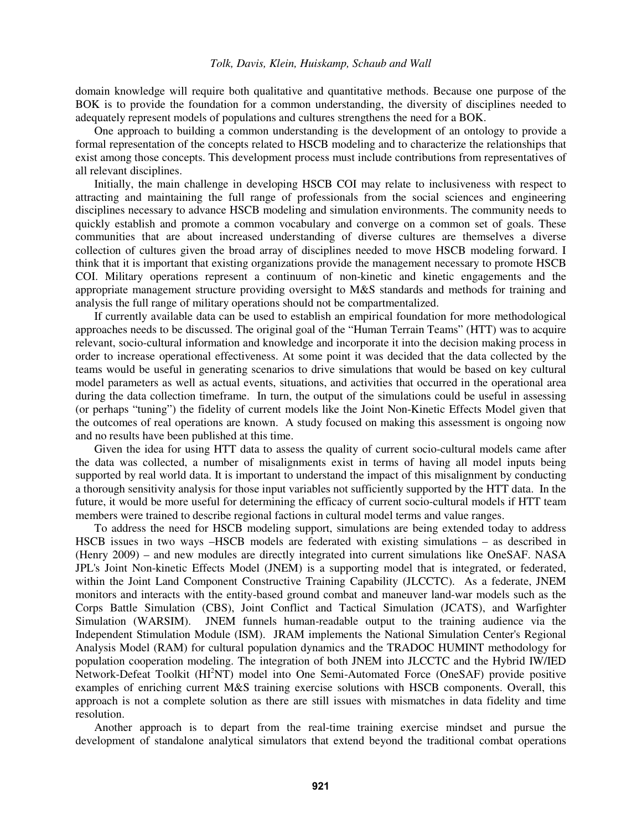domain knowledge will require both qualitative and quantitative methods. Because one purpose of the BOK is to provide the foundation for a common understanding, the diversity of disciplines needed to adequately represent models of populations and cultures strengthens the need for a BOK.

 One approach to building a common understanding is the development of an ontology to provide a formal representation of the concepts related to HSCB modeling and to characterize the relationships that exist among those concepts. This development process must include contributions from representatives of all relevant disciplines.

Initially, the main challenge in developing HSCB COI may relate to inclusiveness with respect to attracting and maintaining the full range of professionals from the social sciences and engineering disciplines necessary to advance HSCB modeling and simulation environments. The community needs to quickly establish and promote a common vocabulary and converge on a common set of goals. These communities that are about increased understanding of diverse cultures are themselves a diverse collection of cultures given the broad array of disciplines needed to move HSCB modeling forward. I think that it is important that existing organizations provide the management necessary to promote HSCB COI. Military operations represent a continuum of non-kinetic and kinetic engagements and the appropriate management structure providing oversight to M&S standards and methods for training and analysis the full range of military operations should not be compartmentalized.

If currently available data can be used to establish an empirical foundation for more methodological approaches needs to be discussed. The original goal of the "Human Terrain Teams" (HTT) was to acquire relevant, socio-cultural information and knowledge and incorporate it into the decision making process in order to increase operational effectiveness. At some point it was decided that the data collected by the teams would be useful in generating scenarios to drive simulations that would be based on key cultural model parameters as well as actual events, situations, and activities that occurred in the operational area during the data collection timeframe. In turn, the output of the simulations could be useful in assessing (or perhaps "tuning") the fidelity of current models like the Joint Non-Kinetic Effects Model given that the outcomes of real operations are known. A study focused on making this assessment is ongoing now and no results have been published at this time.

Given the idea for using HTT data to assess the quality of current socio-cultural models came after the data was collected, a number of misalignments exist in terms of having all model inputs being supported by real world data. It is important to understand the impact of this misalignment by conducting a thorough sensitivity analysis for those input variables not sufficiently supported by the HTT data. In the future, it would be more useful for determining the efficacy of current socio-cultural models if HTT team members were trained to describe regional factions in cultural model terms and value ranges.

To address the need for HSCB modeling support, simulations are being extended today to address HSCB issues in two ways –HSCB models are federated with existing simulations – as described in (Henry 2009) – and new modules are directly integrated into current simulations like OneSAF. NASA JPL's Joint Non-kinetic Effects Model (JNEM) is a supporting model that is integrated, or federated, within the Joint Land Component Constructive Training Capability (JLCCTC). As a federate, JNEM monitors and interacts with the entity-based ground combat and maneuver land-war models such as the Corps Battle Simulation (CBS), Joint Conflict and Tactical Simulation (JCATS), and Warfighter Simulation (WARSIM). JNEM funnels human-readable output to the training audience via the Independent Stimulation Module (ISM). JRAM implements the National Simulation Center's Regional Analysis Model (RAM) for cultural population dynamics and the TRADOC HUMINT methodology for population cooperation modeling. The integration of both JNEM into JLCCTC and the Hybrid IW/IED Network-Defeat Toolkit (HI<sup>2</sup>NT) model into One Semi-Automated Force (OneSAF) provide positive examples of enriching current M&S training exercise solutions with HSCB components. Overall, this approach is not a complete solution as there are still issues with mismatches in data fidelity and time resolution.

Another approach is to depart from the real-time training exercise mindset and pursue the development of standalone analytical simulators that extend beyond the traditional combat operations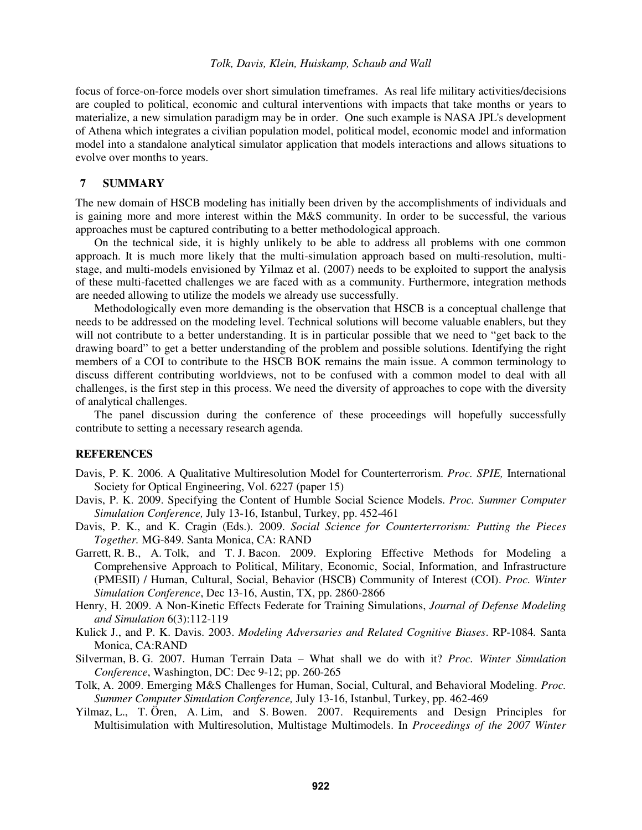focus of force-on-force models over short simulation timeframes. As real life military activities/decisions are coupled to political, economic and cultural interventions with impacts that take months or years to materialize, a new simulation paradigm may be in order. One such example is NASA JPL's development of Athena which integrates a civilian population model, political model, economic model and information model into a standalone analytical simulator application that models interactions and allows situations to evolve over months to years.

#### **7 SUMMARY**

The new domain of HSCB modeling has initially been driven by the accomplishments of individuals and is gaining more and more interest within the M&S community. In order to be successful, the various approaches must be captured contributing to a better methodological approach.

 On the technical side, it is highly unlikely to be able to address all problems with one common approach. It is much more likely that the multi-simulation approach based on multi-resolution, multistage, and multi-models envisioned by Yilmaz et al. (2007) needs to be exploited to support the analysis of these multi-facetted challenges we are faced with as a community. Furthermore, integration methods are needed allowing to utilize the models we already use successfully.

 Methodologically even more demanding is the observation that HSCB is a conceptual challenge that needs to be addressed on the modeling level. Technical solutions will become valuable enablers, but they will not contribute to a better understanding. It is in particular possible that we need to "get back to the drawing board" to get a better understanding of the problem and possible solutions. Identifying the right members of a COI to contribute to the HSCB BOK remains the main issue. A common terminology to discuss different contributing worldviews, not to be confused with a common model to deal with all challenges, is the first step in this process. We need the diversity of approaches to cope with the diversity of analytical challenges.

 The panel discussion during the conference of these proceedings will hopefully successfully contribute to setting a necessary research agenda.

### **REFERENCES**

- Davis, P. K. 2006. A Qualitative Multiresolution Model for Counterterrorism. *Proc. SPIE,* International Society for Optical Engineering, Vol. 6227 (paper 15)
- Davis, P. K. 2009. Specifying the Content of Humble Social Science Models. *Proc. Summer Computer Simulation Conference,* July 13-16, Istanbul, Turkey, pp. 452-461
- Davis, P. K., and K. Cragin (Eds.). 2009. *Social Science for Counterterrorism: Putting the Pieces Together.* MG-849. Santa Monica, CA: RAND
- Garrett, R. B., A. Tolk, and T. J. Bacon. 2009. Exploring Effective Methods for Modeling a Comprehensive Approach to Political, Military, Economic, Social, Information, and Infrastructure (PMESII) / Human, Cultural, Social, Behavior (HSCB) Community of Interest (COI). *Proc. Winter Simulation Conference*, Dec 13-16, Austin, TX, pp. 2860-2866
- Henry, H. 2009. A Non-Kinetic Effects Federate for Training Simulations, *Journal of Defense Modeling and Simulation* 6(3):112-119
- Kulick J., and P. K. Davis. 2003. *Modeling Adversaries and Related Cognitive Biases*. RP-1084*.* Santa Monica, CA:RAND
- Silverman, B. G. 2007. Human Terrain Data What shall we do with it? *Proc. Winter Simulation Conference*, Washington, DC: Dec 9-12; pp. 260-265
- Tolk, A. 2009. Emerging M&S Challenges for Human, Social, Cultural, and Behavioral Modeling. *Proc. Summer Computer Simulation Conference,* July 13-16, Istanbul, Turkey, pp. 462-469
- Yilmaz, L., T. Ören, A. Lim, and S. Bowen. 2007. Requirements and Design Principles for Multisimulation with Multiresolution, Multistage Multimodels. In *Proceedings of the 2007 Winter*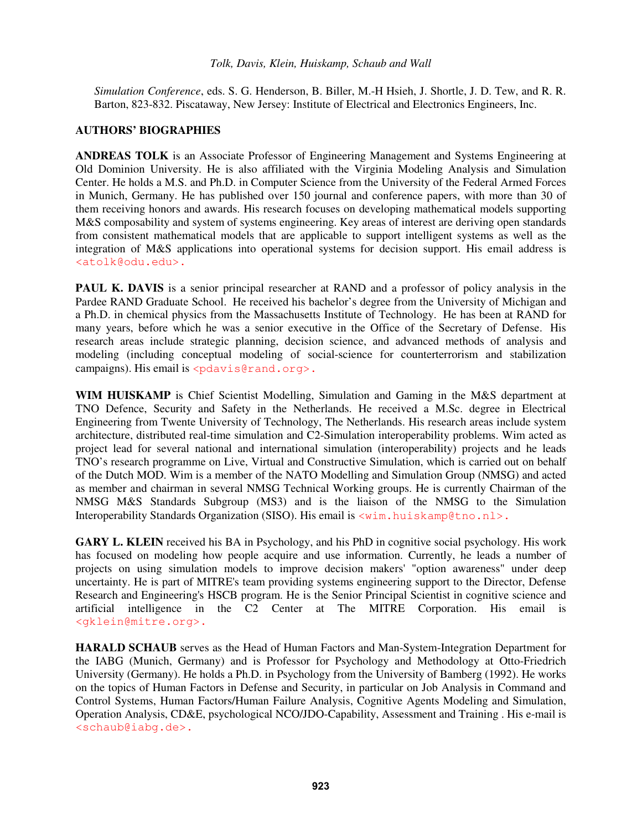*Simulation Conference*, eds. S. G. Henderson, B. Biller, M.-H Hsieh, J. Shortle, J. D. Tew, and R. R. Barton, 823-832. Piscataway, New Jersey: Institute of Electrical and Electronics Engineers, Inc.

# **AUTHORS' BIOGRAPHIES**

**ANDREAS TOLK** is an Associate Professor of Engineering Management and Systems Engineering at Old Dominion University. He is also affiliated with the Virginia Modeling Analysis and Simulation Center. He holds a M.S. and Ph.D. in Computer Science from the University of the Federal Armed Forces in Munich, Germany. He has published over 150 journal and conference papers, with more than 30 of them receiving honors and awards. His research focuses on developing mathematical models supporting M&S composability and system of systems engineering. Key areas of interest are deriving open standards from consistent mathematical models that are applicable to support intelligent systems as well as the integration of M&S applications into operational systems for decision support. His email address is <atolk@odu.edu>.

PAUL K. DAVIS is a senior principal researcher at RAND and a professor of policy analysis in the Pardee RAND Graduate School. He received his bachelor's degree from the University of Michigan and a Ph.D. in chemical physics from the Massachusetts Institute of Technology. He has been at RAND for many years, before which he was a senior executive in the Office of the Secretary of Defense. His research areas include strategic planning, decision science, and advanced methods of analysis and modeling (including conceptual modeling of social-science for counterterrorism and stabilization campaigns). His email is  $\langle$  pdavis@rand.org>.

**WIM HUISKAMP** is Chief Scientist Modelling, Simulation and Gaming in the M&S department at TNO Defence, Security and Safety in the Netherlands. He received a M.Sc. degree in Electrical Engineering from Twente University of Technology, The Netherlands. His research areas include system architecture, distributed real-time simulation and C2-Simulation interoperability problems. Wim acted as project lead for several national and international simulation (interoperability) projects and he leads TNO's research programme on Live, Virtual and Constructive Simulation, which is carried out on behalf of the Dutch MOD. Wim is a member of the NATO Modelling and Simulation Group (NMSG) and acted as member and chairman in several NMSG Technical Working groups. He is currently Chairman of the NMSG M&S Standards Subgroup (MS3) and is the liaison of the NMSG to the Simulation Interoperability Standards Organization (SISO). His email is  $\langle \text{win}, \text{huiskamp@tno}, \text{n1}\rangle$ .

**GARY L. KLEIN** received his BA in Psychology, and his PhD in cognitive social psychology. His work has focused on modeling how people acquire and use information. Currently, he leads a number of projects on using simulation models to improve decision makers' "option awareness" under deep uncertainty. He is part of MITRE's team providing systems engineering support to the Director, Defense Research and Engineering's HSCB program. He is the Senior Principal Scientist in cognitive science and artificial intelligence in the C2 Center at The MITRE Corporation. His email is <gklein@mitre.org>.

**HARALD SCHAUB** serves as the Head of Human Factors and Man-System-Integration Department for the IABG (Munich, Germany) and is Professor for Psychology and Methodology at Otto-Friedrich University (Germany). He holds a Ph.D. in Psychology from the University of Bamberg (1992). He works on the topics of Human Factors in Defense and Security, in particular on Job Analysis in Command and Control Systems, Human Factors/Human Failure Analysis, Cognitive Agents Modeling and Simulation, Operation Analysis, CD&E, psychological NCO/JDO-Capability, Assessment and Training . His e-mail is <schaub@iabg.de>.